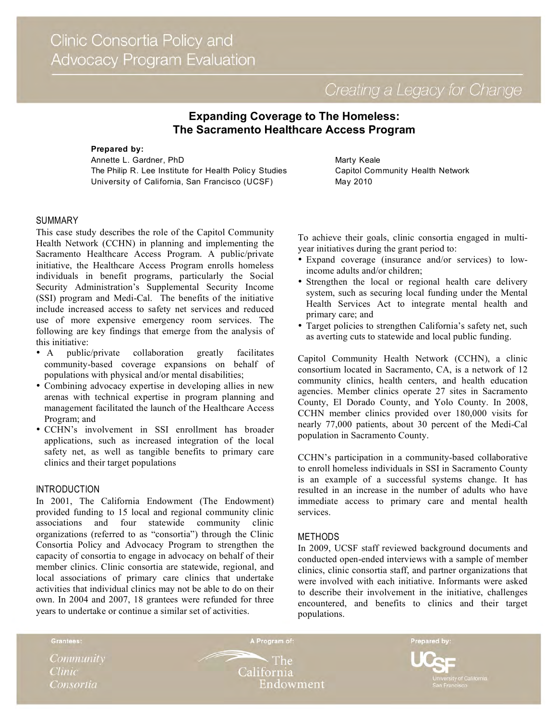Creating a Legacy for Change

# **Expanding Coverage to The Homeless: The Sacramento Healthcare Access Program**

**Prepared by:** Annette L. Gardner, PhD The Philip R. Lee Institute for Health Policy Studies University of California, San Francisco (UCSF)

## Marty Keale Capitol Community Health Network May 2010

# SUMMARY

This case study describes the role of the Capitol Community Health Network (CCHN) in planning and implementing the Sacramento Healthcare Access Program. A public/private initiative, the Healthcare Access Program enrolls homeless individuals in benefit programs, particularly the Social Security Administration's Supplemental Security Income (SSI) program and Medi-Cal. The benefits of the initiative include increased access to safety net services and reduced use of more expensive emergency room services. The following are key findings that emerge from the analysis of this initiative:

- A public/private collaboration greatly facilitates community-based coverage expansions on behalf of populations with physical and/or mental disabilities;
- Combining advocacy expertise in developing allies in new arenas with technical expertise in program planning and management facilitated the launch of the Healthcare Access Program; and
- CCHN's involvement in SSI enrollment has broader applications, such as increased integration of the local safety net, as well as tangible benefits to primary care clinics and their target populations

### INTRODUCTION

In 2001, The California Endowment (The Endowment) provided funding to 15 local and regional community clinic associations and four statewide community clinic organizations (referred to as "consortia") through the Clinic Consortia Policy and Advocacy Program to strengthen the capacity of consortia to engage in advocacy on behalf of their member clinics. Clinic consortia are statewide, regional, and local associations of primary care clinics that undertake activities that individual clinics may not be able to do on their own. In 2004 and 2007, 18 grantees were refunded for three years to undertake or continue a similar set of activities.

To achieve their goals, clinic consortia engaged in multiyear initiatives during the grant period to:

- Expand coverage (insurance and/or services) to lowincome adults and/or children;
- Strengthen the local or regional health care delivery system, such as securing local funding under the Mental Health Services Act to integrate mental health and primary care; and
- Target policies to strengthen California's safety net, such as averting cuts to statewide and local public funding.

Capitol Community Health Network (CCHN), a clinic consortium located in Sacramento, CA, is a network of 12 community clinics, health centers, and health education agencies. Member clinics operate 27 sites in Sacramento County, El Dorado County, and Yolo County. In 2008, CCHN member clinics provided over 180,000 visits for nearly 77,000 patients, about 30 percent of the Medi-Cal population in Sacramento County.

CCHN's participation in a community-based collaborative to enroll homeless individuals in SSI in Sacramento County is an example of a successful systems change. It has resulted in an increase in the number of adults who have immediate access to primary care and mental health services.

## METHODS

In 2009, UCSF staff reviewed background documents and conducted open-ended interviews with a sample of member clinics, clinic consortia staff, and partner organizations that were involved with each initiative. Informants were asked to describe their involvement in the initiative, challenges encountered, and benefits to clinics and their target populations.

Community **Clinic** Consortia

Grantees:

**The** California Endowment

A Program of:

Prepared by: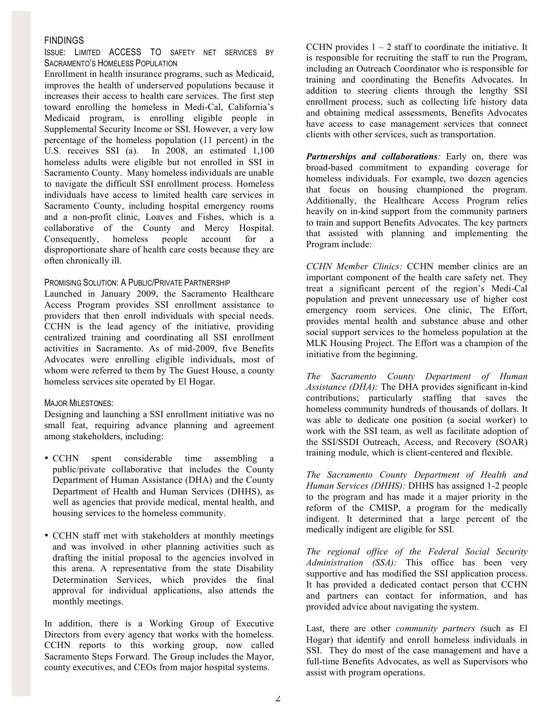## FINDINGS

ISSUE: LIMITED ACCESS TO SAFETY NET SERVICES BY SACRAMENTO'S HOMELESS POPULATION

Enrollment in health insurance programs, such as Medicaid, improves the health of underserved populations because it increases their access to health care services. The first step toward enrolling the homeless in Medi-Cal, California's Medicaid program, is enrolling eligible people in Supplemental Security Income or SSI. However, a very low percentage of the homeless population (11 percent) in the U.S. receives SSI (a). In 2008, an estimated 1,100 homeless adults were eligible but not enrolled in SSI in Sacramento County. Many homeless individuals are unable to navigate the difficult SSI enrollment process. Homeless individuals have access to limited health care services in Sacramento County, including hospital emergency rooms and a non-profit clinic, Loaves and Fishes, which is a collaborative of the County and Mercy Hospital. Consequently, homeless people account for a disproportionate share of health care costs because they are often chronically ill.

#### PROMISING SOLUTION: A PUBLIC/PRIVATE PARTNERSHIP

Launched in January 2009, the Sacramento Healthcare Access Program provides SSI enrollment assistance to providers that then enroll individuals with special needs. CCHN is the lead agency of the initiative, providing centralized training and coordinating all SSI enrollment activities in Sacramento. As of mid-2009, five Benefits Advocates were enrolling eligible individuals, most of whom were referred to them by The Guest House, a county homeless services site operated by El Hogar.

#### MAJOR MILESTONES:

Designing and launching a SSI enrollment initiative was no small feat, requiring advance planning and agreement among stakeholders, including:

- CCHN spent considerable time assembling a public/private collaborative that includes the County Department of Human Assistance (DHA) and the County Department of Health and Human Services (DHHS), as well as agencies that provide medical, mental health, and housing services to the homeless community.
- CCHN staff met with stakeholders at monthly meetings and was involved in other planning activities such as drafting the initial proposal to the agencies involved in this arena. A representative from the state Disability Determination Services, which provides the final approval for individual applications, also attends the monthly meetings.

In addition, there is a Working Group of Executive Directors from every agency that works with the homeless. CCHN reports to this working group, now called Sacramento Steps Forward. The Group includes the Mayor, county executives, and CEOs from major hospital systems.

CCHN provides  $1 - 2$  staff to coordinate the initiative. It is responsible for recruiting the staff to run the Program, including an Outreach Coordinator who is responsible for training and coordinating the Benefits Advocates. In addition to steering clients through the lengthy SSI enrollment process, such as collecting life history data and obtaining medical assessments, Benefits Advocates have access to case management services that connect clients with other services, such as transportation.

*Partnerships and collaborations:* Early on, there was broad-based commitment to expanding coverage for homeless individuals. For example, two dozen agencies that focus on housing championed the program. Additionally, the Healthcare Access Program relies heavily on in-kind support from the community partners to train and support Benefits Advocates. The key partners that assisted with planning and implementing the Program include:

*CCHN Member Clinics:* CCHN member clinics are an important component of the health care safety net. They treat a significant percent of the region's Medi-Cal population and prevent unnecessary use of higher cost emergency room services. One clinic, The Effort, provides mental health and substance abuse and other social support services to the homeless population at the MLK Housing Project. The Effort was a champion of the initiative from the beginning.

*The Sacramento County Department of Human Assistance (DHA):* The DHA provides significant in-kind contributions; particularly staffing that saves the homeless community hundreds of thousands of dollars. It was able to dedicate one position (a social worker) to work with the SSI team, as well as facilitate adoption of the SSI/SSDI Outreach, Access, and Recovery (SOAR) training module, which is client-centered and flexible.

*The Sacramento County Department of Health and Human Services (DHHS):* DHHS has assigned 1-2 people to the program and has made it a major priority in the reform of the CMISP, a program for the medically indigent. It determined that a large percent of the medically indigent are eligible for SSI.

*The regional office of the Federal Social Security Administration (SSA):* This office has been very supportive and has modified the SSI application process. It has provided a dedicated contact person that CCHN and partners can contact for information, and has provided advice about navigating the system.

Last, there are other *community partners (*such as El Hogar) that identify and enroll homeless individuals in SSI. They do most of the case management and have a full-time Benefits Advocates, as well as Supervisors who assist with program operations.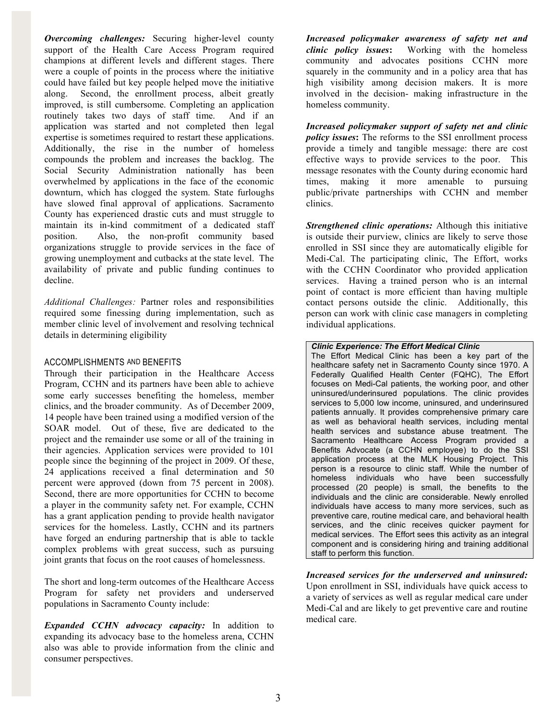*Overcoming challenges:* Securing higher-level county support of the Health Care Access Program required champions at different levels and different stages. There were a couple of points in the process where the initiative could have failed but key people helped move the initiative along. Second, the enrollment process, albeit greatly improved, is still cumbersome. Completing an application routinely takes two days of staff time. And if an application was started and not completed then legal expertise is sometimes required to restart these applications. Additionally, the rise in the number of homeless compounds the problem and increases the backlog. The Social Security Administration nationally has been overwhelmed by applications in the face of the economic downturn, which has clogged the system. State furloughs have slowed final approval of applications. Sacramento County has experienced drastic cuts and must struggle to maintain its in-kind commitment of a dedicated staff position. Also, the non-profit community based organizations struggle to provide services in the face of growing unemployment and cutbacks at the state level. The availability of private and public funding continues to decline.

*Additional Challenges:* Partner roles and responsibilities required some finessing during implementation, such as member clinic level of involvement and resolving technical details in determining eligibility

## ACCOMPLISHMENTS AND BENEFITS

Through their participation in the Healthcare Access Program, CCHN and its partners have been able to achieve some early successes benefiting the homeless, member clinics, and the broader community. As of December 2009, 14 people have been trained using a modified version of the SOAR model. Out of these, five are dedicated to the project and the remainder use some or all of the training in their agencies. Application services were provided to 101 people since the beginning of the project in 2009. Of these, 24 applications received a final determination and 50 percent were approved (down from 75 percent in 2008). Second, there are more opportunities for CCHN to become a player in the community safety net. For example, CCHN has a grant application pending to provide health navigator services for the homeless. Lastly, CCHN and its partners have forged an enduring partnership that is able to tackle complex problems with great success, such as pursuing joint grants that focus on the root causes of homelessness.

The short and long-term outcomes of the Healthcare Access Program for safety net providers and underserved populations in Sacramento County include:

*Expanded CCHN advocacy capacity:* In addition to expanding its advocacy base to the homeless arena, CCHN also was able to provide information from the clinic and consumer perspectives.

*Increased policymaker awareness of safety net and clinic policy issues***:** Working with the homeless community and advocates positions CCHN more squarely in the community and in a policy area that has high visibility among decision makers. It is more involved in the decision- making infrastructure in the homeless community.

*Increased policymaker support of safety net and clinic policy issues***:** The reforms to the SSI enrollment process provide a timely and tangible message: there are cost effective ways to provide services to the poor. This message resonates with the County during economic hard times, making it more amenable to pursuing public/private partnerships with CCHN and member clinics.

*Strengthened clinic operations:* Although this initiative is outside their purview, clinics are likely to serve those enrolled in SSI since they are automatically eligible for Medi-Cal. The participating clinic, The Effort, works with the CCHN Coordinator who provided application services. Having a trained person who is an internal point of contact is more efficient than having multiple contact persons outside the clinic. Additionally, this person can work with clinic case managers in completing individual applications.

### *Clinic Experience: The Effort Medical Clinic*

The Effort Medical Clinic has been a key part of the healthcare safety net in Sacramento County since 1970. A Federally Qualified Health Center (FQHC), The Effort focuses on Medi-Cal patients, the working poor, and other uninsured/underinsured populations. The clinic provides services to 5,000 low income, uninsured, and underinsured patients annually. It provides comprehensive primary care as well as behavioral health services, including mental health services and substance abuse treatment. The Sacramento Healthcare Access Program provided a Benefits Advocate (a CCHN employee) to do the SSI application process at the MLK Housing Project. This person is a resource to clinic staff. While the number of homeless individuals who have been successfully processed (20 people) is small, the benefits to the individuals and the clinic are considerable. Newly enrolled individuals have access to many more services, such as preventive care, routine medical care, and behavioral health services, and the clinic receives quicker payment for medical services. The Effort sees this activity as an integral component and is considering hiring and training additional staff to perform this function.

# *Increased services for the underserved and uninsured:*

Upon enrollment in SSI, individuals have quick access to a variety of services as well as regular medical care under Medi-Cal and are likely to get preventive care and routine medical care.